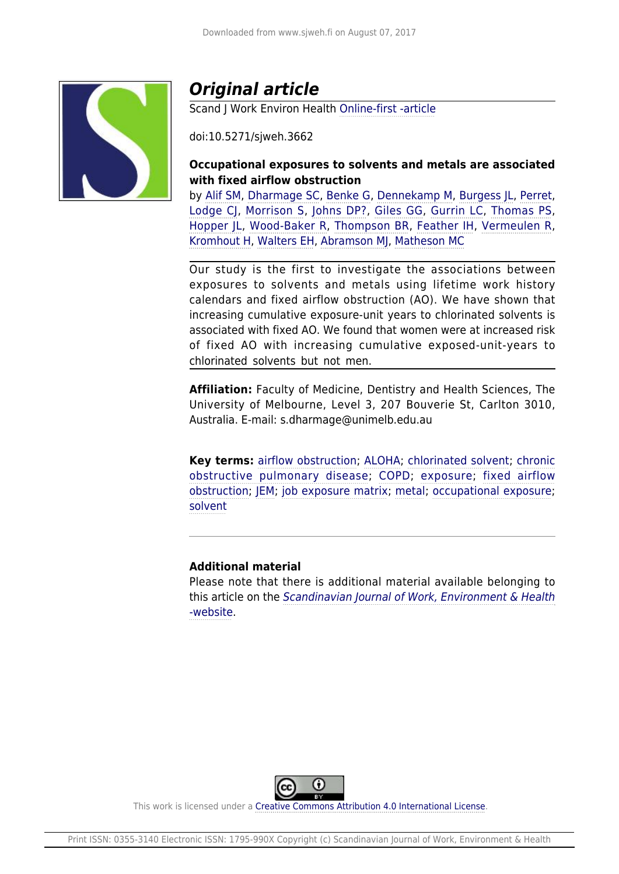

# *Original article*

Scand J Work Environ Health [Online-first -article](http://www.sjweh.fi/#box-onlinefirst)

doi:10.5271/sjweh.3662

## **Occupational exposures to solvents and metals are associated with fixed airflow obstruction**

by [Alif SM,](http://www.sjweh.fi/index.php?page=list-articles&author_id=8878) [Dharmage SC,](http://www.sjweh.fi/index.php?page=list-articles&author_id=8879) [Benke G](http://www.sjweh.fi/index.php?page=list-articles&author_id=8880), [Dennekamp M](http://www.sjweh.fi/index.php?page=list-articles&author_id=8881), [Burgess JL,](http://www.sjweh.fi/index.php?page=list-articles&author_id=8882) [Perret,](http://www.sjweh.fi/index.php?page=list-articles&author_id=8883) [Lodge CJ,](http://www.sjweh.fi/index.php?page=list-articles&author_id=8884) [Morrison S,](http://www.sjweh.fi/index.php?page=list-articles&author_id=8885) [Johns DP?,](http://www.sjweh.fi/index.php?page=list-articles&author_id=8886) [Giles GG,](http://www.sjweh.fi/index.php?page=list-articles&author_id=8887) [Gurrin LC,](http://www.sjweh.fi/index.php?page=list-articles&author_id=8888) [Thomas PS,](http://www.sjweh.fi/index.php?page=list-articles&author_id=8889) [Hopper JL,](http://www.sjweh.fi/index.php?page=list-articles&author_id=8890) [Wood-Baker R](http://www.sjweh.fi/index.php?page=list-articles&author_id=8891), [Thompson BR,](http://www.sjweh.fi/index.php?page=list-articles&author_id=8892) [Feather IH](http://www.sjweh.fi/index.php?page=list-articles&author_id=8893), [Vermeulen R,](http://www.sjweh.fi/index.php?page=list-articles&author_id=1866) [Kromhout H](http://www.sjweh.fi/index.php?page=list-articles&author_id=19), [Walters EH](http://www.sjweh.fi/index.php?page=list-articles&author_id=8894), [Abramson MJ,](http://www.sjweh.fi/index.php?page=list-articles&author_id=8895) [Matheson MC](http://www.sjweh.fi/index.php?page=list-articles&author_id=8896)

Our study is the first to investigate the associations between exposures to solvents and metals using lifetime work history calendars and fixed airflow obstruction (AO). We have shown that increasing cumulative exposure-unit years to chlorinated solvents is associated with fixed AO. We found that women were at increased risk of fixed AO with increasing cumulative exposed-unit-years to chlorinated solvents but not men.

**Affiliation:** Faculty of Medicine, Dentistry and Health Sciences, The University of Melbourne, Level 3, 207 Bouverie St, Carlton 3010, Australia. E-mail: s.dharmage@unimelb.edu.au

**Key terms:** [airflow obstruction](http://www.sjweh.fi/index.php?page=list-articles&keyword_id=7755); [ALOHA](http://www.sjweh.fi/index.php?page=list-articles&keyword_id=8648); [chlorinated solvent](http://www.sjweh.fi/index.php?page=list-articles&keyword_id=8649); [chronic](http://www.sjweh.fi/index.php?page=list-articles&keyword_id=458) [obstructive pulmonary disease;](http://www.sjweh.fi/index.php?page=list-articles&keyword_id=458) [COPD;](http://www.sjweh.fi/index.php?page=list-articles&keyword_id=7380) [exposure;](http://www.sjweh.fi/index.php?page=list-articles&keyword_id=52) [fixed airflow](http://www.sjweh.fi/index.php?page=list-articles&keyword_id=8647) [obstruction](http://www.sjweh.fi/index.php?page=list-articles&keyword_id=8647); [JEM](http://www.sjweh.fi/index.php?page=list-articles&keyword_id=4869); [job exposure matrix](http://www.sjweh.fi/index.php?page=list-articles&keyword_id=4047); [metal](http://www.sjweh.fi/index.php?page=list-articles&keyword_id=5381); [occupational exposure;](http://www.sjweh.fi/index.php?page=list-articles&keyword_id=29) [solvent](http://www.sjweh.fi/index.php?page=list-articles&keyword_id=129)

## **Additional material**

Please note that there is additional material available belonging to this article on the [Scandinavian Journal of Work, Environment & Health](http://www.sjweh.fi/data_repository.php) [-website](http://www.sjweh.fi/data_repository.php).



This work is licensed under a [Creative Commons Attribution 4.0 International License.](http://creativecommons.org/licenses/by/4.0/)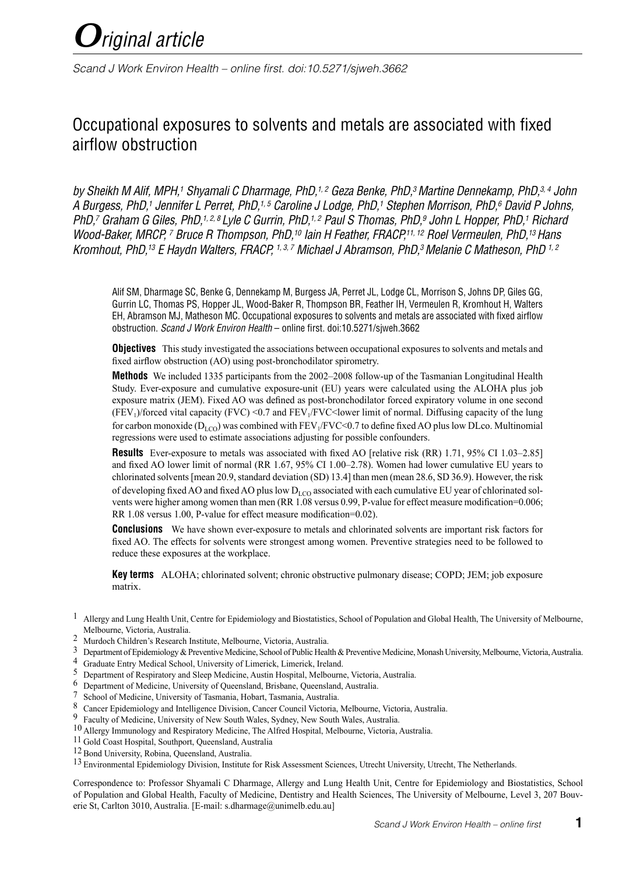

*Scand J Work Environ Health – online first. doi:10.5271/sjweh.3662*

# Occupational exposures to solvents and metals are associated with fixed airflow obstruction

by Sheikh M Alif, MPH,<sup>1</sup> Shyamali C Dharmage, PhD,<sup>1,2</sup> Geza Benke, PhD,<sup>3</sup> Martine Dennekamp, PhD,<sup>3,4</sup> John *A Burgess, PhD,1 Jennifer L Perret, PhD,1, 5 Caroline J Lodge, PhD,1 Stephen Morrison, PhD,6 David P Johns, PhD,7 Graham G Giles, PhD,1, 2, 8 Lyle C Gurrin, PhD,1, 2 Paul S Thomas, PhD,9 John L Hopper, PhD,1 Richard Wood-Baker, MRCP, 7 Bruce R Thompson, PhD,10 Iain H Feather, FRACP,11, 12 Roel Vermeulen, PhD,13 Hans Kromhout, PhD,13 E Haydn Walters, FRACP, 1, 3, 7 Michael J Abramson, PhD,3 Melanie C Matheson, PhD 1, 2*

Alif SM, Dharmage SC, Benke G, Dennekamp M, Burgess JA, Perret JL, Lodge CL, Morrison S, Johns DP, Giles GG, Gurrin LC, Thomas PS, Hopper JL, Wood-Baker R, Thompson BR, Feather IH, Vermeulen R, Kromhout H, Walters EH, Abramson MJ, Matheson MC. Occupational exposures to solvents and metals are associated with fixed airflow obstruction. *Scand J Work Environ Health* – online first. doi:10.5271/sjweh.3662

**Objectives** This study investigated the associations between occupational exposures to solvents and metals and fixed airflow obstruction (AO) using post-bronchodilator spirometry.

**Methods** We included 1335 participants from the 2002–2008 follow-up of the Tasmanian Longitudinal Health Study. Ever-exposure and cumulative exposure-unit (EU) years were calculated using the ALOHA plus job exposure matrix (JEM). Fixed AO was defined as post-bronchodilator forced expiratory volume in one second (FEV<sub>1</sub>)/forced vital capacity (FVC) <0.7 and FEV<sub>1</sub>/FVC<lower limit of normal. Diffusing capacity of the lung for carbon monoxide ( $D_{LCO}$ ) was combined with  $FEV_1/FVC<0.7$  to define fixed AO plus low DLco. Multinomial regressions were used to estimate associations adjusting for possible confounders.

**Results** Ever-exposure to metals was associated with fixed AO [relative risk (RR) 1.71, 95% CI 1.03–2.85] and fixed AO lower limit of normal (RR 1.67, 95% CI 1.00–2.78). Women had lower cumulative EU years to chlorinated solvents [mean 20.9, standard deviation (SD) 13.4] than men (mean 28.6, SD 36.9). However, the risk of developing fixed AO and fixed AO plus low  $D_{LCO}$  associated with each cumulative EU year of chlorinated solvents were higher among women than men (RR 1.08 versus 0.99, P-value for effect measure modification=0.006; RR 1.08 versus 1.00, P-value for effect measure modification=0.02).

**Conclusions** We have shown ever-exposure to metals and chlorinated solvents are important risk factors for fixed AO. The effects for solvents were strongest among women. Preventive strategies need to be followed to reduce these exposures at the workplace.

**Key terms** ALOHA; chlorinated solvent; chronic obstructive pulmonary disease; COPD; JEM; job exposure matrix.

- 2 Murdoch Children's Research Institute, Melbourne, Victoria, Australia.
- 3 Department of Epidemiology & Preventive Medicine, School of Public Health & Preventive Medicine, Monash University, Melbourne, Victoria, Australia.
- 4 Graduate Entry Medical School, University of Limerick, Limerick, Ireland.
- 5 Department of Respiratory and Sleep Medicine, Austin Hospital, Melbourne, Victoria, Australia.
- 6 Department of Medicine, University of Queensland, Brisbane, Queensland, Australia.
- 7 School of Medicine, University of Tasmania, Hobart, Tasmania, Australia.
- 8 Cancer Epidemiology and Intelligence Division, Cancer Council Victoria, Melbourne, Victoria, Australia.
- 9 Faculty of Medicine, University of New South Wales, Sydney, New South Wales, Australia.
- 10 Allergy Immunology and Respiratory Medicine, The Alfred Hospital, Melbourne, Victoria, Australia.
- 11 Gold Coast Hospital, Southport, Queensland, Australia
- 12 Bond University, Robina, Queensland, Australia.

<sup>13</sup> Environmental Epidemiology Division, Institute for Risk Assessment Sciences, Utrecht University, Utrecht, The Netherlands.

Correspondence to: Professor Shyamali C Dharmage, Allergy and Lung Health Unit, Centre for Epidemiology and Biostatistics, School of Population and Global Health, Faculty of Medicine, Dentistry and Health Sciences, The University of Melbourne, Level 3, 207 Bouverie St, Carlton 3010, Australia. [E-mail: s.dharmage@unimelb.edu.au]

 $1$  Allergy and Lung Health Unit, Centre for Epidemiology and Biostatistics, School of Population and Global Health, The University of Melbourne, Melbourne, Victoria, Australia.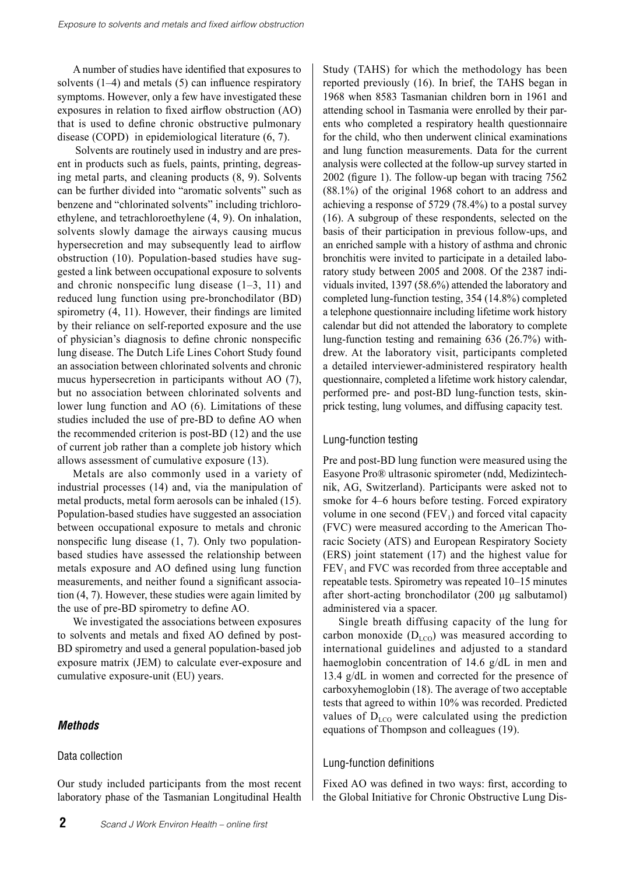A number of studies have identified that exposures to solvents  $(1-4)$  and metals  $(5)$  can influence respiratory symptoms. However, only a few have investigated these exposures in relation to fixed airflow obstruction (AO) that is used to define chronic obstructive pulmonary disease (COPD) in epidemiological literature (6, 7).

 Solvents are routinely used in industry and are present in products such as fuels, paints, printing, degreasing metal parts, and cleaning products (8, 9). Solvents can be further divided into "aromatic solvents" such as benzene and "chlorinated solvents" including trichloroethylene, and tetrachloroethylene (4, 9). On inhalation, solvents slowly damage the airways causing mucus hypersecretion and may subsequently lead to airflow obstruction (10). Population-based studies have suggested a link between occupational exposure to solvents and chronic nonspecific lung disease (1–3, 11) and reduced lung function using pre-bronchodilator (BD) spirometry (4, 11). However, their findings are limited by their reliance on self-reported exposure and the use of physician's diagnosis to define chronic nonspecific lung disease. The Dutch Life Lines Cohort Study found an association between chlorinated solvents and chronic mucus hypersecretion in participants without AO (7), but no association between chlorinated solvents and lower lung function and AO (6). Limitations of these studies included the use of pre-BD to define AO when the recommended criterion is post-BD (12) and the use of current job rather than a complete job history which allows assessment of cumulative exposure (13).

Metals are also commonly used in a variety of industrial processes (14) and, via the manipulation of metal products, metal form aerosols can be inhaled (15). Population-based studies have suggested an association between occupational exposure to metals and chronic nonspecific lung disease (1, 7). Only two populationbased studies have assessed the relationship between metals exposure and AO defined using lung function measurements, and neither found a significant association (4, 7). However, these studies were again limited by the use of pre-BD spirometry to define AO.

We investigated the associations between exposures to solvents and metals and fixed AO defined by post-BD spirometry and used a general population-based job exposure matrix (JEM) to calculate ever-exposure and cumulative exposure-unit (EU) years.

#### *Methods*

#### Data collection

Our study included participants from the most recent laboratory phase of the Tasmanian Longitudinal Health

Study (TAHS) for which the methodology has been reported previously (16). In brief, the TAHS began in 1968 when 8583 Tasmanian children born in 1961 and attending school in Tasmania were enrolled by their parents who completed a respiratory health questionnaire for the child, who then underwent clinical examinations and lung function measurements. Data for the current analysis were collected at the follow-up survey started in 2002 (figure 1). The follow-up began with tracing 7562 (88.1%) of the original 1968 cohort to an address and achieving a response of 5729 (78.4%) to a postal survey (16). A subgroup of these respondents, selected on the basis of their participation in previous follow-ups, and an enriched sample with a history of asthma and chronic bronchitis were invited to participate in a detailed laboratory study between 2005 and 2008. Of the 2387 individuals invited, 1397 (58.6%) attended the laboratory and completed lung-function testing, 354 (14.8%) completed a telephone questionnaire including lifetime work history calendar but did not attended the laboratory to complete lung-function testing and remaining 636 (26.7%) withdrew. At the laboratory visit, participants completed a detailed interviewer-administered respiratory health questionnaire, completed a lifetime work history calendar, performed pre- and post-BD lung-function tests, skinprick testing, lung volumes, and diffusing capacity test.

#### Lung-function testing

Pre and post-BD lung function were measured using the Easyone Pro® ultrasonic spirometer (ndd, Medizintechnik, AG, Switzerland). Participants were asked not to smoke for 4–6 hours before testing. Forced expiratory volume in one second  $(FEV_1)$  and forced vital capacity (FVC) were measured according to the American Thoracic Society (ATS) and European Respiratory Society (ERS) joint statement (17) and the highest value for  $FEV<sub>1</sub>$  and FVC was recorded from three acceptable and repeatable tests. Spirometry was repeated 10–15 minutes after short-acting bronchodilator (200 μg salbutamol) administered via a spacer.

Single breath diffusing capacity of the lung for carbon monoxide  $(D_{\text{LCO}})$  was measured according to international guidelines and adjusted to a standard haemoglobin concentration of 14.6 g/dL in men and 13.4 g/dL in women and corrected for the presence of carboxyhemoglobin (18). The average of two acceptable tests that agreed to within 10% was recorded. Predicted values of  $D_{\text{LCO}}$  were calculated using the prediction equations of Thompson and colleagues (19).

#### Lung-function definitions

Fixed AO was defined in two ways: first, according to the Global Initiative for Chronic Obstructive Lung Dis-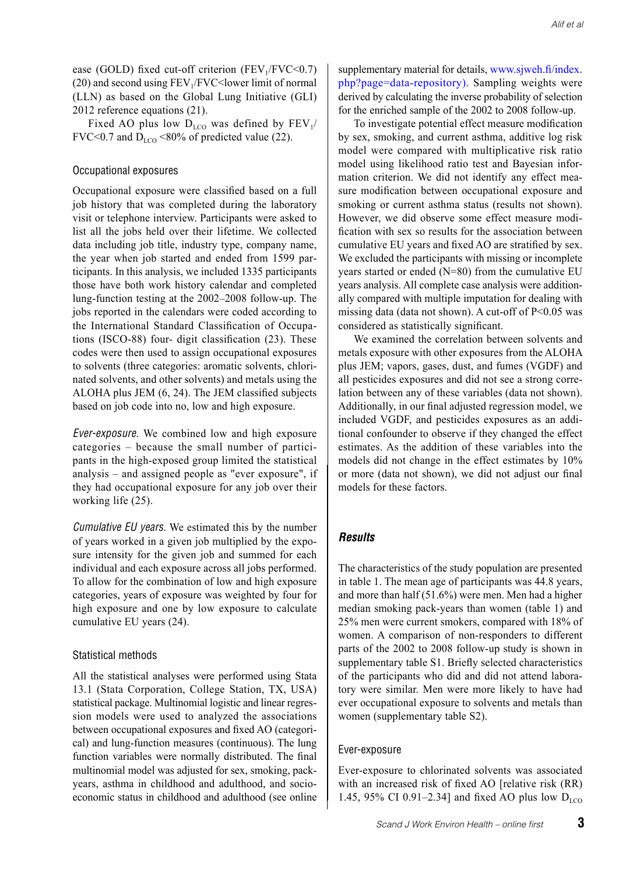ease (GOLD) fixed cut-off criterion (FEV $_1$ /FVC<0.7)  $(20)$  and second using FEV<sub>1</sub>/FVC $\leq$ lower limit of normal (LLN) as based on the Global Lung Initiative (GLI) 2012 reference equations (21).

Fixed AO plus low  $D_{LCO}$  was defined by  $FEV_1/$ FVC<0.7 and  $D_{LCD}$  <80% of predicted value (22).

#### Occupational exposures

Occupational exposure were classified based on a full job history that was completed during the laboratory visit or telephone interview. Participants were asked to list all the jobs held over their lifetime. We collected data including job title, industry type, company name, the year when job started and ended from 1599 participants. In this analysis, we included 1335 participants those have both work history calendar and completed lung-function testing at the 2002–2008 follow-up. The jobs reported in the calendars were coded according to the International Standard Classification of Occupations (ISCO-88) four- digit classification (23). These codes were then used to assign occupational exposures to solvents (three categories: aromatic solvents, chlorinated solvents, and other solvents) and metals using the ALOHA plus JEM (6, 24). The JEM classified subjects based on job code into no, low and high exposure.

*Ever-exposure.* We combined low and high exposure categories – because the small number of participants in the high-exposed group limited the statistical analysis – and assigned people as "ever exposure", if they had occupational exposure for any job over their working life (25).

*Cumulative EU years.* We estimated this by the number of years worked in a given job multiplied by the exposure intensity for the given job and summed for each individual and each exposure across all jobs performed. To allow for the combination of low and high exposure categories, years of exposure was weighted by four for high exposure and one by low exposure to calculate cumulative EU years (24).

#### Statistical methods

All the statistical analyses were performed using Stata 13.1 (Stata Corporation, College Station, TX, USA) statistical package. Multinomial logistic and linear regression models were used to analyzed the associations between occupational exposures and fixed AO (categorical) and lung-function measures (continuous). The lung function variables were normally distributed. The final multinomial model was adjusted for sex, smoking, packyears, asthma in childhood and adulthood, and socioeconomic status in childhood and adulthood (see online supplementary material for details, www.sjweh.fi/index. php?page=data-repository). Sampling weights were derived by calculating the inverse probability of selection for the enriched sample of the 2002 to 2008 follow-up.

To investigate potential effect measure modification by sex, smoking, and current asthma, additive log risk model were compared with multiplicative risk ratio model using likelihood ratio test and Bayesian information criterion. We did not identify any effect measure modification between occupational exposure and smoking or current asthma status (results not shown). However, we did observe some effect measure modification with sex so results for the association between cumulative EU years and fixed AO are stratified by sex. We excluded the participants with missing or incomplete years started or ended (N=80) from the cumulative EU years analysis. All complete case analysis were additionally compared with multiple imputation for dealing with missing data (data not shown). A cut-off of  $P<0.05$  was considered as statistically significant.

We examined the correlation between solvents and metals exposure with other exposures from the ALOHA plus JEM; vapors, gases, dust, and fumes (VGDF) and all pesticides exposures and did not see a strong correlation between any of these variables (data not shown). Additionally, in our final adjusted regression model, we included VGDF, and pesticides exposures as an additional confounder to observe if they changed the effect estimates. As the addition of these variables into the models did not change in the effect estimates by 10% or more (data not shown), we did not adjust our final models for these factors.

#### *Results*

The characteristics of the study population are presented in table 1. The mean age of participants was 44.8 years, and more than half (51.6%) were men. Men had a higher median smoking pack-years than women (table 1) and 25% men were current smokers, compared with 18% of women. A comparison of non-responders to different parts of the 2002 to 2008 follow-up study is shown in supplementary table S1. Briefly selected characteristics of the participants who did and did not attend laboratory were similar. Men were more likely to have had ever occupational exposure to solvents and metals than women (supplementary table S2).

#### Ever-exposure

Ever-exposure to chlorinated solvents was associated with an increased risk of fixed AO [relative risk (RR) 1.45, 95% CI 0.91–2.34] and fixed AO plus low  $D_{\text{LCO}}$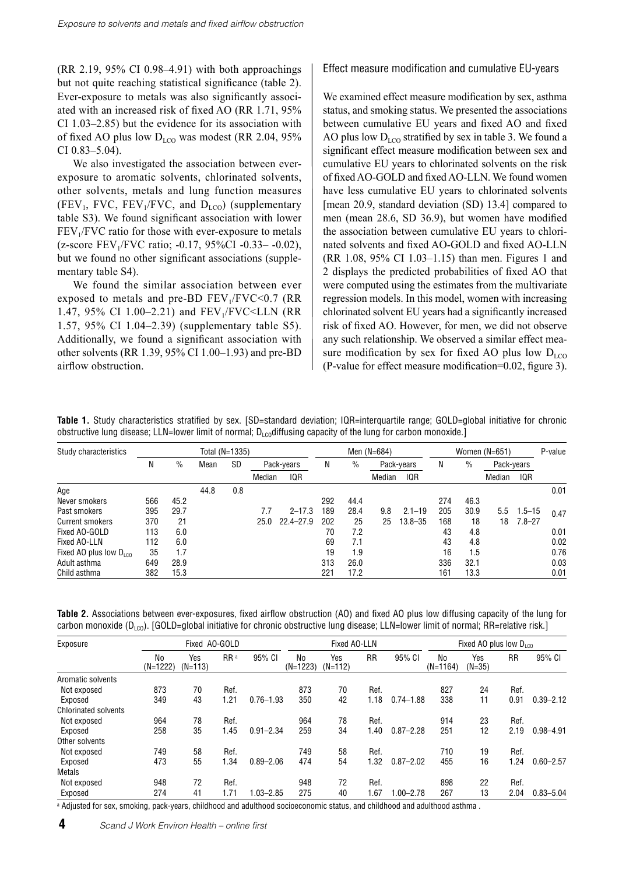(RR 2.19, 95% CI 0.98–4.91) with both approachings but not quite reaching statistical significance (table 2). Ever-exposure to metals was also significantly associated with an increased risk of fixed AO (RR 1.71, 95% CI 1.03–2.85) but the evidence for its association with of fixed AO plus low  $D_{LCO}$  was modest (RR 2.04, 95% CI 0.83–5.04).

We also investigated the association between everexposure to aromatic solvents, chlorinated solvents, other solvents, metals and lung function measures (FEV<sub>1</sub>, FVC, FEV<sub>1</sub>/FVC, and  $D_{LCO}$ ) (supplementary table S3). We found significant association with lower  $FEV<sub>1</sub>/FVC$  ratio for those with ever-exposure to metals  $(z\text{-score FEV}_1/\text{FVC ratio}; -0.17, 95\% \text{CI} -0.33 - -0.02)$ , but we found no other significant associations (supplementary table S4).

We found the similar association between ever exposed to metals and pre-BD  $FEV<sub>1</sub>/FVC<0.7$  (RR 1.47, 95% CI 1.00-2.21) and FEV<sub>1</sub>/FVC<LLN (RR 1.57, 95% CI 1.04–2.39) (supplementary table S5). Additionally, we found a significant association with other solvents (RR 1.39, 95% CI 1.00–1.93) and pre-BD airflow obstruction.

#### Effect measure modification and cumulative EU-years

We examined effect measure modification by sex, asthma status, and smoking status. We presented the associations between cumulative EU years and fixed AO and fixed AO plus low  $D_{LCO}$  stratified by sex in table 3. We found a significant effect measure modification between sex and cumulative EU years to chlorinated solvents on the risk of fixed AO-GOLD and fixed AO-LLN. We found women have less cumulative EU years to chlorinated solvents [mean 20.9, standard deviation (SD) 13.4] compared to men (mean 28.6, SD 36.9), but women have modified the association between cumulative EU years to chlorinated solvents and fixed AO-GOLD and fixed AO-LLN (RR 1.08, 95% CI 1.03–1.15) than men. Figures 1 and 2 displays the predicted probabilities of fixed AO that were computed using the estimates from the multivariate regression models. In this model, women with increasing chlorinated solvent EU years had a significantly increased risk of fixed AO. However, for men, we did not observe any such relationship. We observed a similar effect measure modification by sex for fixed AO plus low  $D_{LO}$ (P-value for effect measure modification=0.02, figure 3).

**Table 1.** Study characteristics stratified by sex. [SD=standard deviation; IQR=interquartile range; GOLD=global initiative for chronic obstructive lung disease; LLN=lower limit of normal;  $D_{Lo}$ diffusing capacity of the lung for carbon monoxide.]

| Study characteristics              | Total (N=1335) |      |      |           |            |               | Men $(N=684)$ |      |            |             | Women $(N=651)$ |      |            |            | P-value |
|------------------------------------|----------------|------|------|-----------|------------|---------------|---------------|------|------------|-------------|-----------------|------|------------|------------|---------|
|                                    | Ν              | $\%$ | Mean | <b>SD</b> | Pack-years |               | N             | $\%$ | Pack-years |             | N               | $\%$ | Pack-years |            |         |
|                                    |                |      |      |           | Median     | IQR           |               |      | Median     | IQR         |                 |      | Median     | <b>IQR</b> |         |
| Age                                |                |      | 44.8 | 0.8       |            |               |               |      |            |             |                 |      |            |            | 0.01    |
| Never smokers                      | 566            | 45.2 |      |           |            |               | 292           | 44.4 |            |             | 274             | 46.3 |            |            |         |
| Past smokers                       | 395            | 29.7 |      |           | 7.7        | $2 - 17.3$    | 189           | 28.4 | 9.8        | $2.1 - 19$  | 205             | 30.9 | 5.5        | $1.5 - 15$ | 0.47    |
| Current smokers                    | 370            | 21   |      |           | 25.0       | $22.4 - 27.9$ | 202           | 25   | 25         | $13.8 - 35$ | 168             | 18   | 18         | $7.8 - 27$ |         |
| Fixed AO-GOLD                      | 113            | 6.0  |      |           |            |               | 70            | 7.2  |            |             | 43              | 4.8  |            |            | 0.01    |
| Fixed AO-LLN                       | 112            | 6.0  |      |           |            |               | 69            | 7.1  |            |             | 43              | 4.8  |            |            | 0.02    |
| Fixed AO plus low $D_{\text{ion}}$ | 35             | 1.7  |      |           |            |               | 19            | 1.9  |            |             | 16              | 1.5  |            |            | 0.76    |
| Adult asthma                       | 649            | 28.9 |      |           |            |               | 313           | 26.0 |            |             | 336             | 32.1 |            |            | 0.03    |
| Child asthma                       | 382            | 15.3 |      |           |            |               | 221           | 17.2 |            |             | 161             | 13.3 |            |            | 0.01    |

**Table 2.** Associations between ever-exposures, fixed airflow obstruction (AO) and fixed AO plus low diffusing capacity of the lung for carbon monoxide ( $D_{\text{LOO}}$ ). [GOLD=global initiative for chronic obstructive lung disease; LLN=lower limit of normal; RR=relative risk.]

| Exposure                    |                  | Fixed AO-GOLD    |                 |               | Fixed AO-LLN     |                  |           | Fixed AO plus low $D_{\text{ice}}$ |                  |                 |           |               |
|-----------------------------|------------------|------------------|-----------------|---------------|------------------|------------------|-----------|------------------------------------|------------------|-----------------|-----------|---------------|
|                             | No<br>$(N=1222)$ | Yes<br>$(N=113)$ | RR <sup>a</sup> | 95% CI        | No<br>$(N=1223)$ | Yes<br>$(N=112)$ | <b>RR</b> | 95% CI                             | No<br>$(N=1164)$ | Yes<br>$(N=35)$ | <b>RR</b> | 95% CI        |
| Aromatic solvents           |                  |                  |                 |               |                  |                  |           |                                    |                  |                 |           |               |
| Not exposed                 | 873              | 70               | Ref.            |               | 873              | 70               | Ref.      |                                    | 827              | 24              | Ref.      |               |
| Exposed                     | 349              | 43               | 1.21            | $0.76 - 1.93$ | 350              | 42               | 1.18      | $0.74 - 1.88$                      | 338              | 11              | 0.91      | $0.39 - 2.12$ |
| <b>Chlorinated solvents</b> |                  |                  |                 |               |                  |                  |           |                                    |                  |                 |           |               |
| Not exposed                 | 964              | 78               | Ref.            |               | 964              | 78               | Ref.      |                                    | 914              | 23              | Ref.      |               |
| Exposed                     | 258              | 35               | 1.45            | $0.91 - 2.34$ | 259              | 34               | 1.40      | $0.87 - 2.28$                      | 251              | 12              | 2.19      | $0.98 - 4.91$ |
| Other solvents              |                  |                  |                 |               |                  |                  |           |                                    |                  |                 |           |               |
| Not exposed                 | 749              | 58               | Ref.            |               | 749              | 58               | Ref.      |                                    | 710              | 19              | Ref.      |               |
| Exposed                     | 473              | 55               | 1.34            | $0.89 - 2.06$ | 474              | 54               | 1.32      | $0.87 - 2.02$                      | 455              | 16              | .24       | $0.60 - 2.57$ |
| <b>Metals</b>               |                  |                  |                 |               |                  |                  |           |                                    |                  |                 |           |               |
| Not exposed                 | 948              | 72               | Ref.            |               | 948              | 72               | Ref.      |                                    | 898              | 22              | Ref.      |               |
| Exposed                     | 274              | 41               | 1.71            | $1.03 - 2.85$ | 275              | 40               | 1.67      | $.00 - 2.78$                       | 267              | 13              | 2.04      | $0.83 - 5.04$ |

a Adjusted for sex, smoking, pack-years, childhood and adulthood socioeconomic status, and childhood and adulthood asthma .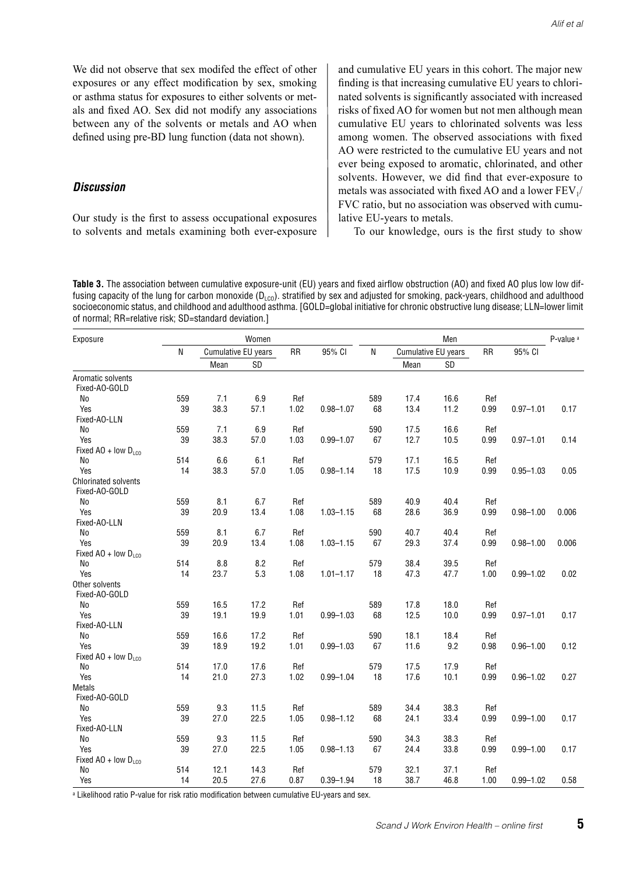We did not observe that sex modifed the effect of other exposures or any effect modification by sex, smoking or asthma status for exposures to either solvents or metals and fixed AO. Sex did not modify any associations between any of the solvents or metals and AO when defined using pre-BD lung function (data not shown).

#### *Discussion*

Our study is the first to assess occupational exposures to solvents and metals examining both ever-exposure and cumulative EU years in this cohort. The major new finding is that increasing cumulative EU years to chlorinated solvents is significantly associated with increased risks of fixed AO for women but not men although mean cumulative EU years to chlorinated solvents was less among women. The observed associations with fixed AO were restricted to the cumulative EU years and not ever being exposed to aromatic, chlorinated, and other solvents. However, we did find that ever-exposure to metals was associated with fixed AO and a lower  $FEV<sub>1</sub>/$ FVC ratio, but no association was observed with cumulative EU-years to metals.

To our knowledge, ours is the first study to show

**Table 3.** The association between cumulative exposure-unit (EU) years and fixed airflow obstruction (AO) and fixed AO plus low low diffusing capacity of the lung for carbon monoxide ( $D_{LO}$ ). stratified by sex and adjusted for smoking, pack-years, childhood and adulthood socioeconomic status, and childhood and adulthood asthma. [GOLD=global initiative for chronic obstructive lung disease; LLN=lower limit of normal; RR=relative risk; SD=standard deviation.]

| Exposure                                     |     |                            | Women |           |               |     | P-value <sup>a</sup> |      |           |               |       |
|----------------------------------------------|-----|----------------------------|-------|-----------|---------------|-----|----------------------|------|-----------|---------------|-------|
|                                              | N   | <b>Cumulative EU years</b> |       | <b>RR</b> | 95% CI        | N   | Cumulative EU years  |      | <b>RR</b> | 95% CI        |       |
|                                              |     | Mean                       | SD    |           |               |     | Mean                 | SD   |           |               |       |
| Aromatic solvents<br>Fixed-AO-GOLD           |     |                            |       |           |               |     |                      |      |           |               |       |
| No                                           | 559 | 7.1                        | 6.9   | Ref       |               | 589 | 17.4                 | 16.6 | Ref       |               |       |
| Yes                                          | 39  | 38.3                       | 57.1  | 1.02      | $0.98 - 1.07$ | 68  | 13.4                 | 11.2 | 0.99      | $0.97 - 1.01$ | 0.17  |
| Fixed-AO-LLN                                 |     |                            |       |           |               |     |                      |      |           |               |       |
| No                                           | 559 | 7.1                        | 6.9   | Ref       |               | 590 | 17.5                 | 16.6 | Ref       |               |       |
| Yes                                          | 39  | 38.3                       | 57.0  | 1.03      | $0.99 - 1.07$ | 67  | 12.7                 | 10.5 | 0.99      | $0.97 - 1.01$ | 0.14  |
| Fixed AO + low $D_{LCO}$                     |     |                            |       |           |               |     |                      |      |           |               |       |
| No                                           | 514 | 6.6                        | 6.1   | Ref       |               | 579 | 17.1                 | 16.5 | Ref       |               |       |
| Yes                                          | 14  | 38.3                       | 57.0  | 1.05      | $0.98 - 1.14$ | 18  | 17.5                 | 10.9 | 0.99      | $0.95 - 1.03$ | 0.05  |
| <b>Chlorinated solvents</b><br>Fixed-AO-GOLD |     |                            |       |           |               |     |                      |      |           |               |       |
| <b>No</b>                                    | 559 | 8.1                        | 6.7   | Ref       |               | 589 | 40.9                 | 40.4 | Ref       |               |       |
| Yes                                          | 39  | 20.9                       | 13.4  | 1.08      | $1.03 - 1.15$ | 68  | 28.6                 | 36.9 | 0.99      | $0.98 - 1.00$ | 0.006 |
| Fixed-AO-LLN                                 |     |                            |       |           |               |     |                      |      |           |               |       |
| N <sub>0</sub>                               | 559 | 8.1                        | 6.7   | Ref       |               | 590 | 40.7                 | 40.4 | Ref       |               |       |
| Yes                                          | 39  | 20.9                       | 13.4  | 1.08      | $1.03 - 1.15$ | 67  | 29.3                 | 37.4 | 0.99      | $0.98 - 1.00$ | 0.006 |
| Fixed AO + low $D_{100}$                     |     |                            |       |           |               |     |                      |      |           |               |       |
| No                                           | 514 | 8.8                        | 8.2   | Ref       |               | 579 | 38.4                 | 39.5 | Ref       |               |       |
| Yes                                          | 14  | 23.7                       | 5.3   | 1.08      | $1.01 - 1.17$ | 18  | 47.3                 | 47.7 | 1.00      | $0.99 - 1.02$ | 0.02  |
| Other solvents                               |     |                            |       |           |               |     |                      |      |           |               |       |
| Fixed-AO-GOLD                                |     |                            |       |           |               |     |                      |      |           |               |       |
| No                                           | 559 | 16.5                       | 17.2  | Ref       |               | 589 | 17.8                 | 18.0 | Ref       |               |       |
| Yes                                          | 39  | 19.1                       | 19.9  | 1.01      | $0.99 - 1.03$ | 68  | 12.5                 | 10.0 | 0.99      | $0.97 - 1.01$ | 0.17  |
| Fixed-AO-LLN                                 |     |                            |       |           |               |     |                      |      |           |               |       |
| No                                           | 559 | 16.6                       | 17.2  | Ref       |               | 590 | 18.1                 | 18.4 | Ref       |               |       |
| Yes                                          | 39  | 18.9                       | 19.2  | 1.01      | $0.99 - 1.03$ | 67  | 11.6                 | 9.2  | 0.98      | $0.96 - 1.00$ | 0.12  |
| Fixed AO + low $D_{100}$                     |     |                            |       |           |               |     |                      |      |           |               |       |
| N <sub>o</sub>                               | 514 | 17.0                       | 17.6  | Ref       |               | 579 | 17.5                 | 17.9 | Ref       |               |       |
| Yes                                          | 14  | 21.0                       | 27.3  | 1.02      | $0.99 - 1.04$ | 18  | 17.6                 | 10.1 | 0.99      | $0.96 - 1.02$ | 0.27  |
| <b>Metals</b>                                |     |                            |       |           |               |     |                      |      |           |               |       |
| Fixed-AO-GOLD                                |     |                            |       |           |               |     |                      |      |           |               |       |
| No                                           | 559 | 9.3                        | 11.5  | Ref       |               | 589 | 34.4                 | 38.3 | Ref       |               |       |
| Yes                                          | 39  | 27.0                       | 22.5  | 1.05      | $0.98 - 1.12$ | 68  | 24.1                 | 33.4 | 0.99      | $0.99 - 1.00$ | 0.17  |
| Fixed-AO-LLN                                 |     |                            |       |           |               |     |                      |      |           |               |       |
| No                                           | 559 | 9.3                        | 11.5  | Ref       |               | 590 | 34.3                 | 38.3 | Ref       |               |       |
| Yes                                          | 39  | 27.0                       | 22.5  | 1.05      | $0.98 - 1.13$ | 67  | 24.4                 | 33.8 | 0.99      | $0.99 - 1.00$ | 0.17  |
| Fixed AO + low $D_{100}$                     |     |                            |       |           |               |     |                      |      |           |               |       |
| No                                           | 514 | 12.1                       | 14.3  | Ref       |               | 579 | 32.1                 | 37.1 | Ref       |               |       |
| Yes                                          | 14  | 20.5                       | 27.6  | 0.87      | $0.39 - 1.94$ | 18  | 38.7                 | 46.8 | 1.00      | $0.99 - 1.02$ | 0.58  |

a Likelihood ratio P-value for risk ratio modification between cumulative EU-years and sex.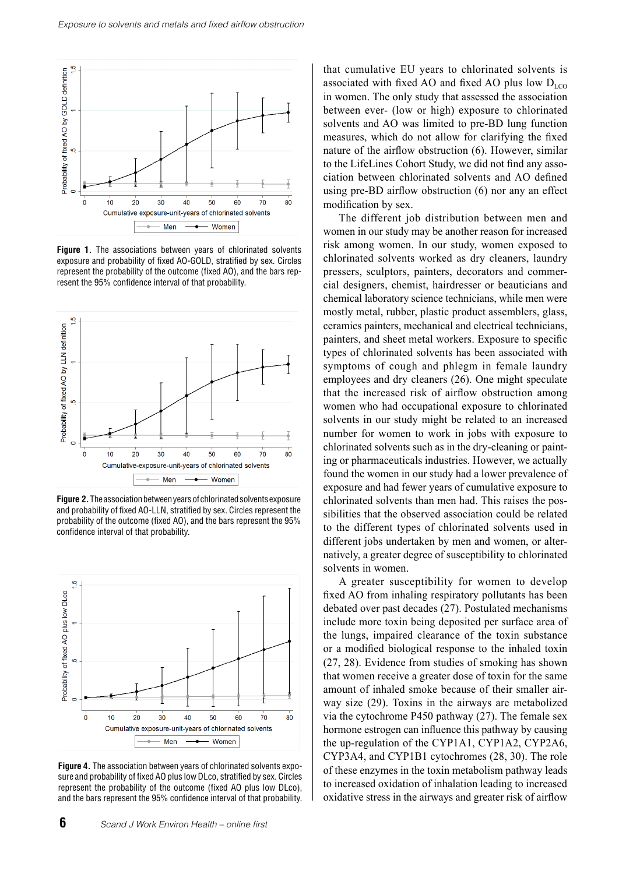

**Figure 1.** The associations between years of chlorinated solvents exposure and probability of fixed AO-GOLD, stratified by sex. Circles represent the probability of the outcome (fixed AO), and the bars represent the 95% confidence interval of that probability.



**Figure 2.** The association between years of chlorinated solvents exposure and probability of fixed AO-LLN, stratified by sex. Circles represent the probability of the outcome (fixed AO), and the bars represent the 95% confidence interval of that probability.



**Figure 4.** The association between years of chlorinated solvents exposure and probability of fixed AO plus low DLco, stratified by sex. Circles represent the probability of the outcome (fixed AO plus low DLco), and the bars represent the 95% confidence interval of that probability.

**6** *Scand J Work Environ Health – online first*

that cumulative EU years to chlorinated solvents is associated with fixed AO and fixed AO plus low  $D_{\text{LCO}}$ in women. The only study that assessed the association between ever- (low or high) exposure to chlorinated solvents and AO was limited to pre-BD lung function measures, which do not allow for clarifying the fixed nature of the airflow obstruction (6). However, similar to the LifeLines Cohort Study, we did not find any association between chlorinated solvents and AO defined using pre-BD airflow obstruction (6) nor any an effect modification by sex.

The different job distribution between men and women in our study may be another reason for increased risk among women. In our study, women exposed to chlorinated solvents worked as dry cleaners, laundry pressers, sculptors, painters, decorators and commercial designers, chemist, hairdresser or beauticians and chemical laboratory science technicians, while men were mostly metal, rubber, plastic product assemblers, glass, ceramics painters, mechanical and electrical technicians, painters, and sheet metal workers. Exposure to specific types of chlorinated solvents has been associated with symptoms of cough and phlegm in female laundry employees and dry cleaners (26). One might speculate that the increased risk of airflow obstruction among women who had occupational exposure to chlorinated solvents in our study might be related to an increased number for women to work in jobs with exposure to chlorinated solvents such as in the dry-cleaning or painting or pharmaceuticals industries. However, we actually found the women in our study had a lower prevalence of exposure and had fewer years of cumulative exposure to chlorinated solvents than men had. This raises the possibilities that the observed association could be related to the different types of chlorinated solvents used in different jobs undertaken by men and women, or alternatively, a greater degree of susceptibility to chlorinated solvents in women.

A greater susceptibility for women to develop fixed AO from inhaling respiratory pollutants has been debated over past decades (27). Postulated mechanisms include more toxin being deposited per surface area of the lungs, impaired clearance of the toxin substance or a modified biological response to the inhaled toxin (27, 28). Evidence from studies of smoking has shown that women receive a greater dose of toxin for the same amount of inhaled smoke because of their smaller airway size (29). Toxins in the airways are metabolized via the cytochrome P450 pathway (27). The female sex hormone estrogen can influence this pathway by causing the up-regulation of the CYP1A1, CYP1A2, CYP2A6, CYP3A4, and CYP1B1 cytochromes (28, 30). The role of these enzymes in the toxin metabolism pathway leads to increased oxidation of inhalation leading to increased oxidative stress in the airways and greater risk of airflow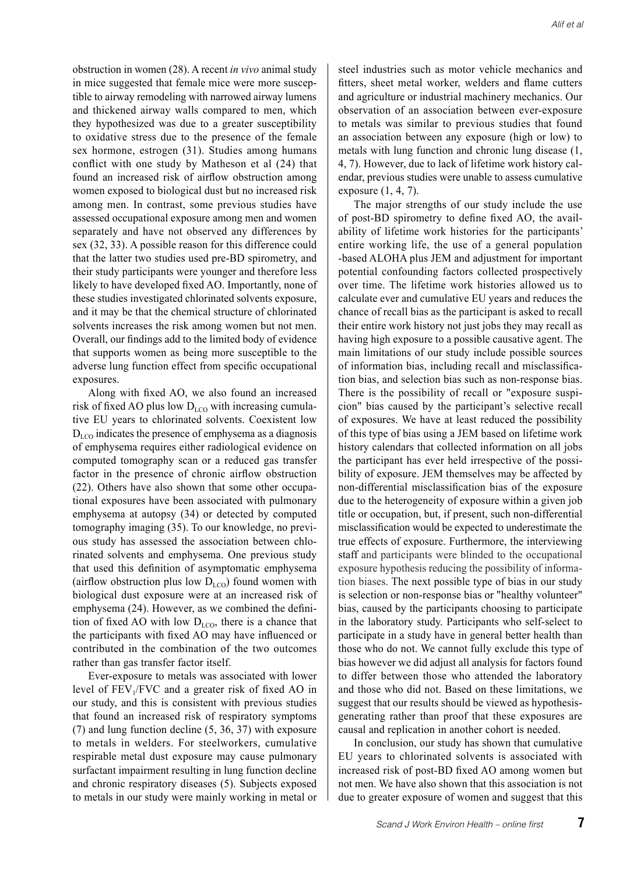obstruction in women (28). A recent *in vivo* animal study in mice suggested that female mice were more susceptible to airway remodeling with narrowed airway lumens and thickened airway walls compared to men, which they hypothesized was due to a greater susceptibility to oxidative stress due to the presence of the female sex hormone, estrogen (31). Studies among humans conflict with one study by Matheson et al (24) that found an increased risk of airflow obstruction among women exposed to biological dust but no increased risk among men. In contrast, some previous studies have assessed occupational exposure among men and women separately and have not observed any differences by sex (32, 33). A possible reason for this difference could that the latter two studies used pre-BD spirometry, and their study participants were younger and therefore less likely to have developed fixed AO. Importantly, none of these studies investigated chlorinated solvents exposure, and it may be that the chemical structure of chlorinated solvents increases the risk among women but not men. Overall, our findings add to the limited body of evidence that supports women as being more susceptible to the adverse lung function effect from specific occupational exposures.

Along with fixed AO, we also found an increased risk of fixed AO plus low  $D_{LCO}$  with increasing cumulative EU years to chlorinated solvents. Coexistent low  $D_{\text{LCO}}$  indicates the presence of emphysema as a diagnosis of emphysema requires either radiological evidence on computed tomography scan or a reduced gas transfer factor in the presence of chronic airflow obstruction (22). Others have also shown that some other occupational exposures have been associated with pulmonary emphysema at autopsy (34) or detected by computed tomography imaging (35). To our knowledge, no previous study has assessed the association between chlorinated solvents and emphysema. One previous study that used this definition of asymptomatic emphysema (airflow obstruction plus low  $D_{LCO}$ ) found women with biological dust exposure were at an increased risk of emphysema (24). However, as we combined the definition of fixed AO with low  $D_{LCO}$ , there is a chance that the participants with fixed AO may have influenced or contributed in the combination of the two outcomes rather than gas transfer factor itself.

Ever-exposure to metals was associated with lower level of  $FEV<sub>1</sub>/FVC$  and a greater risk of fixed AO in our study, and this is consistent with previous studies that found an increased risk of respiratory symptoms (7) and lung function decline (5, 36, 37) with exposure to metals in welders. For steelworkers, cumulative respirable metal dust exposure may cause pulmonary surfactant impairment resulting in lung function decline and chronic respiratory diseases (5). Subjects exposed to metals in our study were mainly working in metal or steel industries such as motor vehicle mechanics and fitters, sheet metal worker, welders and flame cutters and agriculture or industrial machinery mechanics. Our observation of an association between ever-exposure to metals was similar to previous studies that found an association between any exposure (high or low) to metals with lung function and chronic lung disease (1, 4, 7). However, due to lack of lifetime work history calendar, previous studies were unable to assess cumulative exposure (1, 4, 7).

The major strengths of our study include the use of post-BD spirometry to define fixed AO, the availability of lifetime work histories for the participants' entire working life, the use of a general population -based ALOHA plus JEM and adjustment for important potential confounding factors collected prospectively over time. The lifetime work histories allowed us to calculate ever and cumulative EU years and reduces the chance of recall bias as the participant is asked to recall their entire work history not just jobs they may recall as having high exposure to a possible causative agent. The main limitations of our study include possible sources of information bias, including recall and misclassification bias, and selection bias such as non-response bias. There is the possibility of recall or "exposure suspicion" bias caused by the participant's selective recall of exposures. We have at least reduced the possibility of this type of bias using a JEM based on lifetime work history calendars that collected information on all jobs the participant has ever held irrespective of the possibility of exposure. JEM themselves may be affected by non-differential misclassification bias of the exposure due to the heterogeneity of exposure within a given job title or occupation, but, if present, such non-differential misclassification would be expected to underestimate the true effects of exposure. Furthermore, the interviewing staff and participants were blinded to the occupational exposure hypothesis reducing the possibility of information biases. The next possible type of bias in our study is selection or non-response bias or "healthy volunteer" bias, caused by the participants choosing to participate in the laboratory study. Participants who self-select to participate in a study have in general better health than those who do not. We cannot fully exclude this type of bias however we did adjust all analysis for factors found to differ between those who attended the laboratory and those who did not. Based on these limitations, we suggest that our results should be viewed as hypothesisgenerating rather than proof that these exposures are causal and replication in another cohort is needed.

In conclusion, our study has shown that cumulative EU years to chlorinated solvents is associated with increased risk of post-BD fixed AO among women but not men. We have also shown that this association is not due to greater exposure of women and suggest that this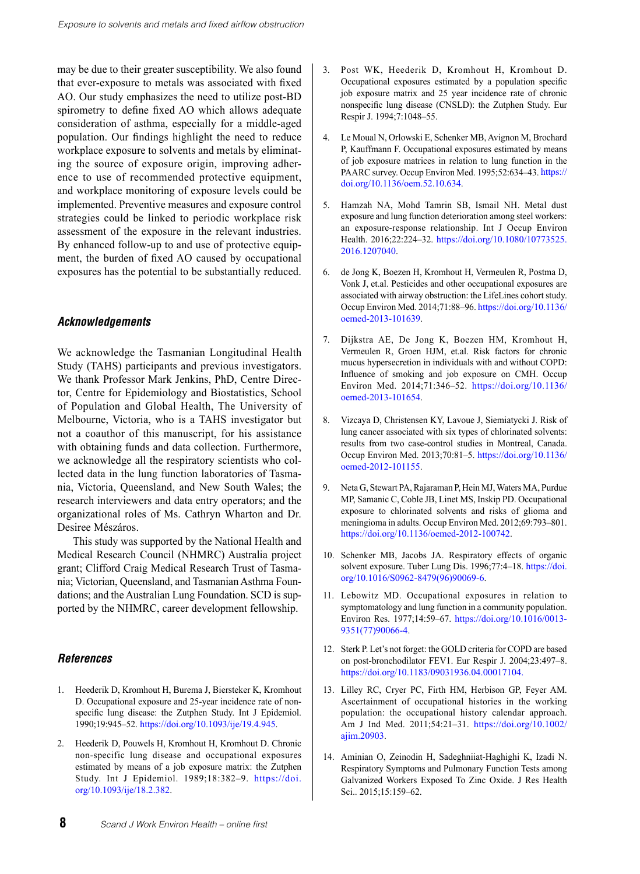may be due to their greater susceptibility. We also found that ever-exposure to metals was associated with fixed AO. Our study emphasizes the need to utilize post-BD spirometry to define fixed AO which allows adequate consideration of asthma, especially for a middle-aged population. Our findings highlight the need to reduce workplace exposure to solvents and metals by eliminating the source of exposure origin, improving adherence to use of recommended protective equipment, and workplace monitoring of exposure levels could be implemented. Preventive measures and exposure control strategies could be linked to periodic workplace risk assessment of the exposure in the relevant industries. By enhanced follow-up to and use of protective equipment, the burden of fixed AO caused by occupational exposures has the potential to be substantially reduced.

#### *Acknowledgements*

We acknowledge the Tasmanian Longitudinal Health Study (TAHS) participants and previous investigators. We thank Professor Mark Jenkins, PhD, Centre Director, Centre for Epidemiology and Biostatistics, School of Population and Global Health, The University of Melbourne, Victoria, who is a TAHS investigator but not a coauthor of this manuscript, for his assistance with obtaining funds and data collection. Furthermore, we acknowledge all the respiratory scientists who collected data in the lung function laboratories of Tasmania, Victoria, Queensland, and New South Wales; the research interviewers and data entry operators; and the organizational roles of Ms. Cathryn Wharton and Dr. Desiree Mészáros.

This study was supported by the National Health and Medical Research Council (NHMRC) Australia project grant; Clifford Craig Medical Research Trust of Tasmania; Victorian, Queensland, and Tasmanian Asthma Foundations; and the Australian Lung Foundation. SCD is supported by the NHMRC, career development fellowship.

#### *References*

- 1. Heederik D, Kromhout H, Burema J, Biersteker K, Kromhout D. Occupational exposure and 25-year incidence rate of nonspecific lung disease: the Zutphen Study. Int J Epidemiol. 1990;19:945–52. <https://doi.org/10.1093/ije/19.4.945>.
- 2. Heederik D, Pouwels H, Kromhout H, Kromhout D. Chronic non-specific lung disease and occupational exposures estimated by means of a job exposure matrix: the Zutphen Study. Int J Epidemiol. 1989;18:382–9. [https://doi.](https://doi.org/10.1093/ije/18.2.382) [org/10.1093/ije/18.2.382](https://doi.org/10.1093/ije/18.2.382).
- 3. Post WK, Heederik D, Kromhout H, Kromhout D. Occupational exposures estimated by a population specific job exposure matrix and 25 year incidence rate of chronic nonspecific lung disease (CNSLD): the Zutphen Study. Eur Respir J. 1994;7:1048–55.
- 4. Le Moual N, Orlowski E, Schenker MB, Avignon M, Brochard P, Kauffmann F. Occupational exposures estimated by means of job exposure matrices in relation to lung function in the PAARC survey. Occup Environ Med. 1995;52:634–43. [https://](https://doi.org/10.1136/oem.52.10.634) [doi.org/10.1136/oem.52.10.634.](https://doi.org/10.1136/oem.52.10.634)
- 5. Hamzah NA, Mohd Tamrin SB, Ismail NH. Metal dust exposure and lung function deterioration among steel workers: an exposure-response relationship. Int J Occup Environ Health. 2016;22:224–32. [https://doi.org/10.1080/10773525.](https://doi.org/10.1080/10773525.2016.1207040) [2016.1207040](https://doi.org/10.1080/10773525.2016.1207040).
- 6. de Jong K, Boezen H, Kromhout H, Vermeulen R, Postma D, Vonk J, et.al. Pesticides and other occupational exposures are associated with airway obstruction: the LifeLines cohort study. Occup Environ Med. 2014;71:88–96. [https://doi.org/10.1136/](https://doi.org/10.1136/oemed-2013-101639) [oemed-2013-101639](https://doi.org/10.1136/oemed-2013-101639).
- 7. Dijkstra AE, De Jong K, Boezen HM, Kromhout H, Vermeulen R, Groen HJM, et.al. Risk factors for chronic mucus hypersecretion in individuals with and without COPD: Influence of smoking and job exposure on CMH. Occup Environ Med. 2014;71:346–52. [https://doi.org/10.1136/](https://doi.org/10.1136/oemed-2013-101654) [oemed-2013-101654](https://doi.org/10.1136/oemed-2013-101654).
- 8. Vizcaya D, Christensen KY, Lavoue J, Siemiatycki J. Risk of lung cancer associated with six types of chlorinated solvents: results from two case-control studies in Montreal, Canada. Occup Environ Med. 2013;70:81–5. [https://doi.org/10.1136/](https://doi.org/10.1136/oemed-2012-101155) [oemed-2012-101155](https://doi.org/10.1136/oemed-2012-101155).
- 9. Neta G, Stewart PA, Rajaraman P, Hein MJ, Waters MA, Purdue MP, Samanic C, Coble JB, Linet MS, Inskip PD. Occupational exposure to chlorinated solvents and risks of glioma and meningioma in adults. Occup Environ Med. 2012;69:793–801. <https://doi.org/10.1136/oemed-2012-100742>.
- 10. Schenker MB, Jacobs JA. Respiratory effects of organic solvent exposure. Tuber Lung Dis. 1996;77:4-18. [https://doi.](https://doi.org/10.1016/S0962-8479(96)90069-6) [org/10.1016/S0962-8479\(96\)90069-6](https://doi.org/10.1016/S0962-8479(96)90069-6).
- 11. Lebowitz MD. Occupational exposures in relation to symptomatology and lung function in a community population. Environ Res. 1977;14:59–67. [https://doi.org/10.1016/0013-](https://doi.org/10.1016/0013-9351(77)90066-4) [9351\(77\)90066-4](https://doi.org/10.1016/0013-9351(77)90066-4).
- 12. Sterk P. Let's not forget: the GOLD criteria for COPD are based on post-bronchodilator FEV1. Eur Respir J. 2004;23:497–8. https://doi.org/10.1183/09031936.04.00017104.
- 13. Lilley RC, Cryer PC, Firth HM, Herbison GP, Feyer AM. Ascertainment of occupational histories in the working population: the occupational history calendar approach. Am J Ind Med. 2011;54:21–31. [https://doi.org/10.1002/](https://doi.org/10.1002/ajim.20903) [ajim.20903](https://doi.org/10.1002/ajim.20903).
- 14. Aminian O, Zeinodin H, Sadeghniiat-Haghighi K, Izadi N. Respiratory Symptoms and Pulmonary Function Tests among Galvanized Workers Exposed To Zinc Oxide. J Res Health Sci.. 2015;15:159–62.